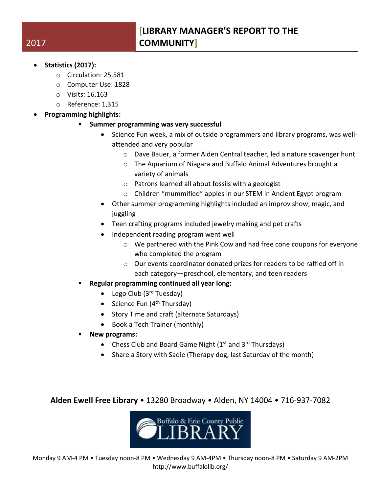- **Statistics (2017):**
	- o Circulation: 25,581
	- o Computer Use: 1828
	- o Visits: 16,163
	- o Reference: 1,315
	- **Programming highlights:**
		- **Summer programming was very successful**
			- Science Fun week, a mix of outside programmers and library programs, was wellattended and very popular
				- o Dave Bauer, a former Alden Central teacher, led a nature scavenger hunt
				- o The Aquarium of Niagara and Buffalo Animal Adventures brought a variety of animals
				- o Patrons learned all about fossils with a geologist
				- o Children "mummified" apples in our STEM in Ancient Egypt program
			- Other summer programming highlights included an improv show, magic, and juggling
			- Teen crafting programs included jewelry making and pet crafts
			- Independent reading program went well
				- $\circ$  We partnered with the Pink Cow and had free cone coupons for everyone who completed the program
				- o Our events coordinator donated prizes for readers to be raffled off in each category—preschool, elementary, and teen readers
		- **Regular programming continued all year long:**
			- Lego Club  $(3<sup>rd</sup> Tuesday)$
			- Science Fun  $(4<sup>th</sup> Thursday)$
			- Story Time and craft (alternate Saturdays)
			- Book a Tech Trainer (monthly)
		- **New programs:**
			- Chess Club and Board Game Night  $(1<sup>st</sup>$  and  $3<sup>rd</sup>$  Thursdays)
			- Share a Story with Sadie (Therapy dog, last Saturday of the month)

**Alden Ewell Free Library** • 13280 Broadway • Alden, NY 14004 • 716-937-7082



## 2017